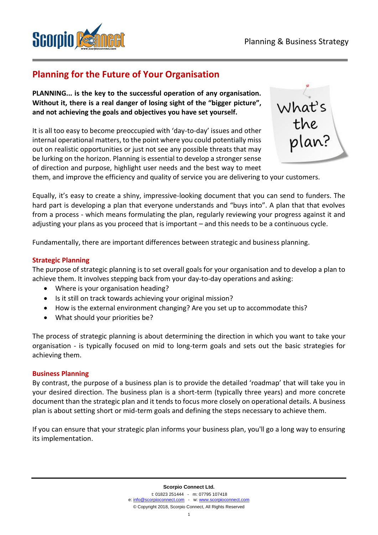

# **Planning for the Future of Your Organisation**

**PLANNING... is the key to the successful operation of any organisation. Without it, there is a real danger of losing sight of the "bigger picture", and not achieving the goals and objectives you have set yourself.**

It is all too easy to become preoccupied with 'day-to-day' issues and other internal operational matters, to the point where you could potentially miss out on realistic opportunities or just not see any possible threats that may be lurking on the horizon. Planning is essential to develop a stronger sense of direction and purpose, highlight user needs and the best way to meet



them, and improve the efficiency and quality of service you are delivering to your customers.

Equally, it's easy to create a shiny, impressive-looking document that you can send to funders. The hard part is developing a plan that everyone understands and "buys into". A plan that that evolves from a process - which means formulating the plan, regularly reviewing your progress against it and adjusting your plans as you proceed that is important – and this needs to be a continuous cycle.

Fundamentally, there are important differences between strategic and business planning.

## **Strategic Planning**

The purpose of strategic planning is to set overall goals for your organisation and to develop a plan to achieve them. It involves stepping back from your day-to-day operations and asking:

- Where is your organisation heading?
- Is it still on track towards achieving your original mission?
- How is the external environment changing? Are you set up to accommodate this?
- What should your priorities be?

The process of strategic planning is about determining the direction in which you want to take your organisation - is typically focused on mid to long-term goals and sets out the basic strategies for achieving them.

#### **Business Planning**

By contrast, the purpose of a business plan is to provide the detailed 'roadmap' that will take you in your desired direction. The business plan is a short-term (typically three years) and more concrete document than the strategic plan and it tends to focus more closely on operational details. A business plan is about setting short or mid-term goals and defining the steps necessary to achieve them.

If you can ensure that your strategic plan informs your business plan, you'll go a long way to ensuring its implementation.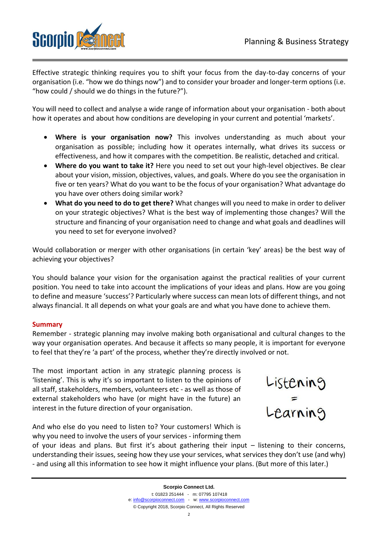Listening<br>Learning



Effective strategic thinking requires you to shift your focus from the day-to-day concerns of your organisation (i.e. "how we do things now") and to consider your broader and longer-term options (i.e. "how could / should we do things in the future?").

You will need to collect and analyse a wide range of information about your organisation - both about how it operates and about how conditions are developing in your current and potential 'markets'.

- **Where is your organisation now?** This involves understanding as much about your organisation as possible; including how it operates internally, what drives its success or effectiveness, and how it compares with the competition. Be realistic, detached and critical.
- **Where do you want to take it?** Here you need to set out your high-level objectives. Be clear about your vision, mission, objectives, values, and goals. Where do you see the organisation in five or ten years? What do you want to be the focus of your organisation? What advantage do you have over others doing similar work?
- **What do you need to do to get there?** What changes will you need to make in order to deliver on your strategic objectives? What is the best way of implementing those changes? Will the structure and financing of your organisation need to change and what goals and deadlines will you need to set for everyone involved?

Would collaboration or merger with other organisations (in certain 'key' areas) be the best way of achieving your objectives?

You should balance your vision for the organisation against the practical realities of your current position. You need to take into account the implications of your ideas and plans. How are you going to define and measure 'success'? Particularly where success can mean lots of different things, and not always financial. It all depends on what your goals are and what you have done to achieve them.

#### **Summary**

Remember - strategic planning may involve making both organisational and cultural changes to the way your organisation operates. And because it affects so many people, it is important for everyone to feel that they're 'a part' of the process, whether they're directly involved or not.

The most important action in any strategic planning process is 'listening'. This is why it's so important to listen to the opinions of all staff, stakeholders, members, volunteers etc - as well as those of external stakeholders who have (or might have in the future) an interest in the future direction of your organisation.



why you need to involve the users of your services - informing them of your ideas and plans. But first it's about gathering their input – listening to their concerns, understanding their issues, seeing how they use your services, what services they don't use (and why) - and using all this information to see how it might influence your plans. (But more of this later.)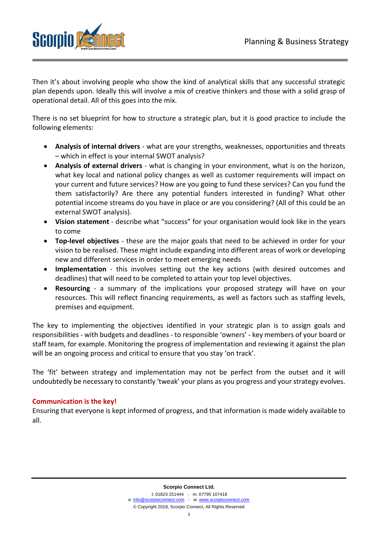

Then it's about involving people who show the kind of analytical skills that any successful strategic plan depends upon. Ideally this will involve a mix of creative thinkers and those with a solid grasp of operational detail. All of this goes into the mix.

There is no set blueprint for how to structure a strategic plan, but it is good practice to include the following elements:

- **Analysis of internal drivers** what are your strengths, weaknesses, opportunities and threats – which in effect is your internal SWOT analysis?
- **Analysis of external drivers** what is changing in your environment, what is on the horizon, what key local and national policy changes as well as customer requirements will impact on your current and future services? How are you going to fund these services? Can you fund the them satisfactorily? Are there any potential funders interested in funding? What other potential income streams do you have in place or are you considering? (All of this could be an external SWOT analysis).
- **Vision statement** describe what "success" for your organisation would look like in the years to come
- **Top-level objectives** these are the major goals that need to be achieved in order for your vision to be realised. These might include expanding into different areas of work or developing new and different services in order to meet emerging needs
- **Implementation** this involves setting out the key actions (with desired outcomes and deadlines) that will need to be completed to attain your top level objectives.
- **Resourcing** a summary of the implications your proposed strategy will have on your resources. This will reflect financing requirements, as well as factors such as staffing levels, premises and equipment.

The key to implementing the objectives identified in your strategic plan is to assign goals and responsibilities - with budgets and deadlines - to responsible 'owners' - key members of your board or staff team, for example. Monitoring the progress of implementation and reviewing it against the plan will be an ongoing process and critical to ensure that you stay 'on track'.

The 'fit' between strategy and implementation may not be perfect from the outset and it will undoubtedly be necessary to constantly 'tweak' your plans as you progress and your strategy evolves.

# **Communication is the key!**

Ensuring that everyone is kept informed of progress, and that information is made widely available to all.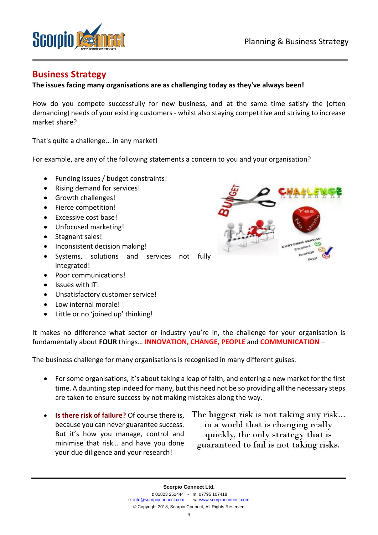

# **Business Strategy**

## **The issues facing many organisations are as challenging today as they've always been!**

How do you compete successfully for new business, and at the same time satisfy the (often demanding) needs of your existing customers - whilst also staying competitive and striving to increase market share?

That's quite a challenge... in any market!

For example, are any of the following statements a concern to you and your organisation?

- Funding issues / budget constraints!
- Rising demand for services!
- Growth challenges!
- Fierce competition!
- Excessive cost base!
- Unfocused marketing!
- Stagnant sales!
- Inconsistent decision making!
- Systems, solutions and services not fully integrated!
- Poor communications!
- Issues with IT!
- Unsatisfactory customer service!
- Low internal morale!
- Little or no 'joined up' thinking!

It makes no difference what sector or industry you're in, the challenge for your organisation is fundamentally about **FOUR** things… **INNOVATION, CHANGE, PEOPLE** and **COMMUNICATION** –

The business challenge for many organisations is recognised in many different guises.

- For some organisations, it's about taking a leap of faith, and entering a new market for the first time. A daunting step indeed for many, but this need not be so providing all the necessary steps are taken to ensure success by not making mistakes along the way.
- **Is there risk of failure?** Of course there is, because you can never guarantee success. But it's how you manage, control and minimise that risk… and have you done your due diligence and your research!
- The biggest risk is not taking any risk... in a world that is changing really quickly, the only strategy that is guaranteed to fail is not taking risks.